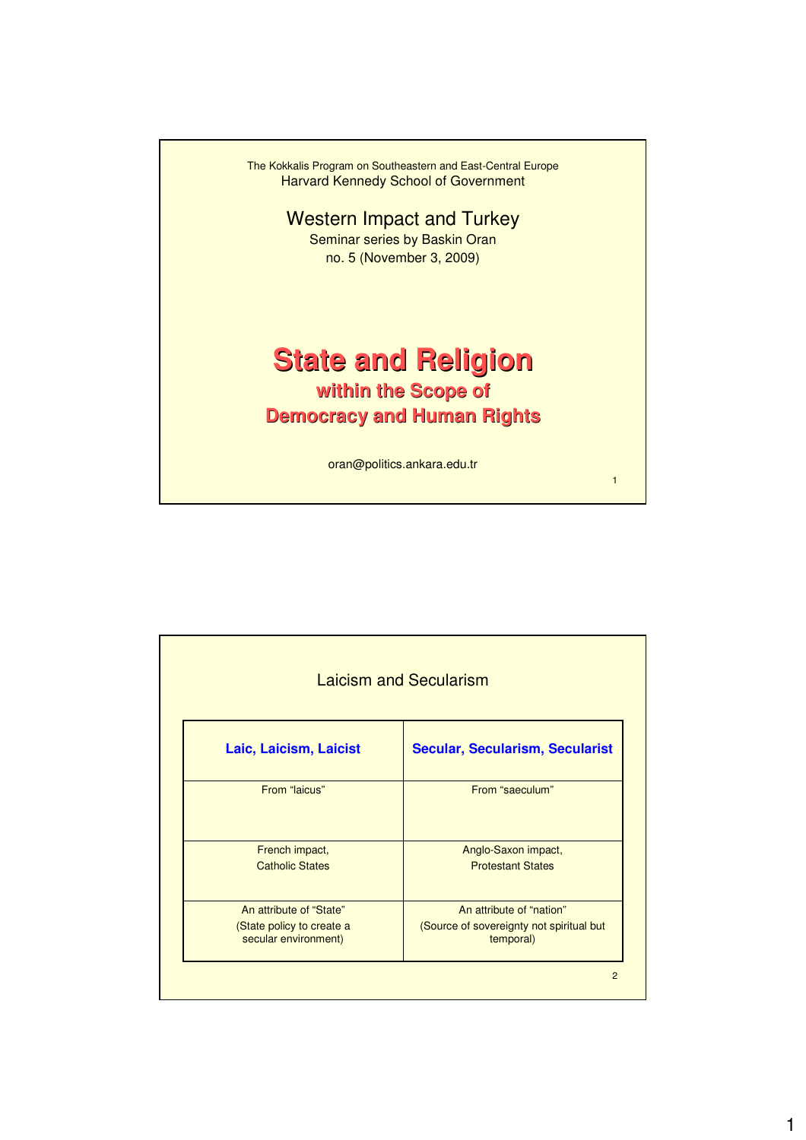

| <b>Laicism and Secularism</b>                     |                                                       |  |  |  |
|---------------------------------------------------|-------------------------------------------------------|--|--|--|
| Laic, Laicism, Laicist                            | <b>Secular, Secularism, Secularist</b>                |  |  |  |
| From "laicus"                                     | From "saeculum"                                       |  |  |  |
| French impact,                                    | Anglo-Saxon impact,                                   |  |  |  |
| <b>Catholic States</b>                            | <b>Protestant States</b>                              |  |  |  |
| An attribute of "State"                           | An attribute of "nation"                              |  |  |  |
| (State policy to create a<br>secular environment) | (Source of sovereignty not spiritual but<br>temporal) |  |  |  |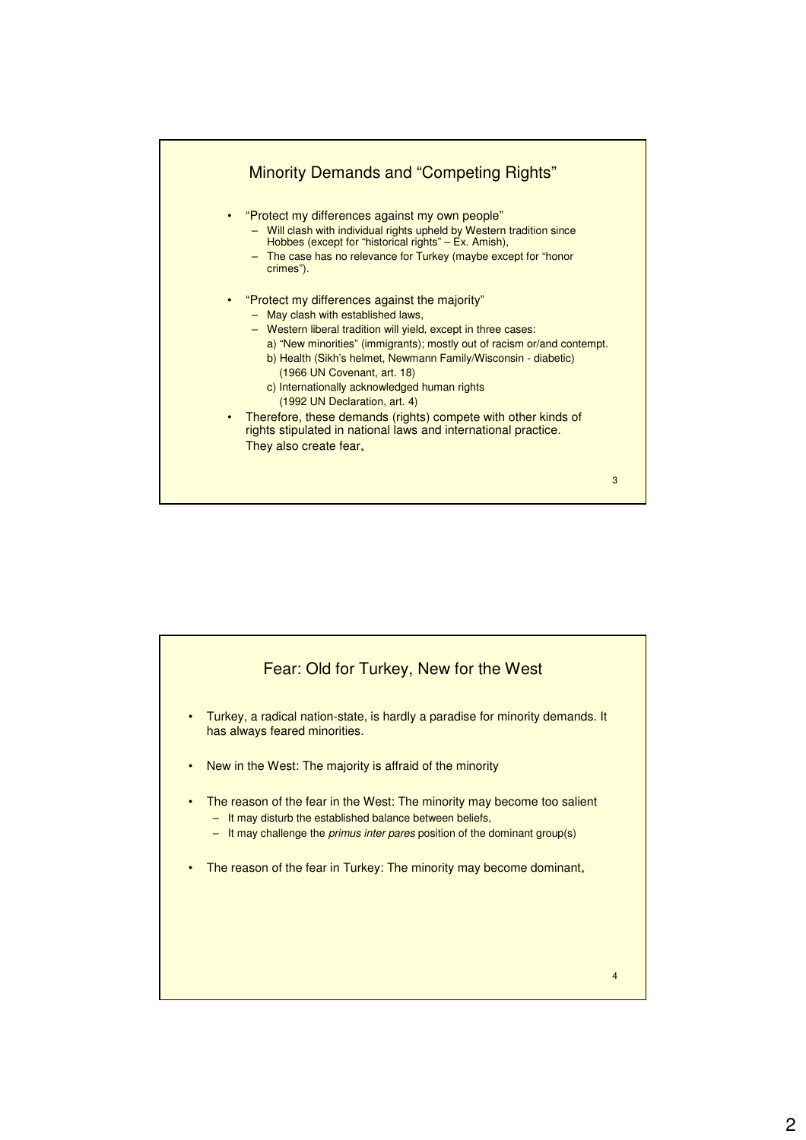

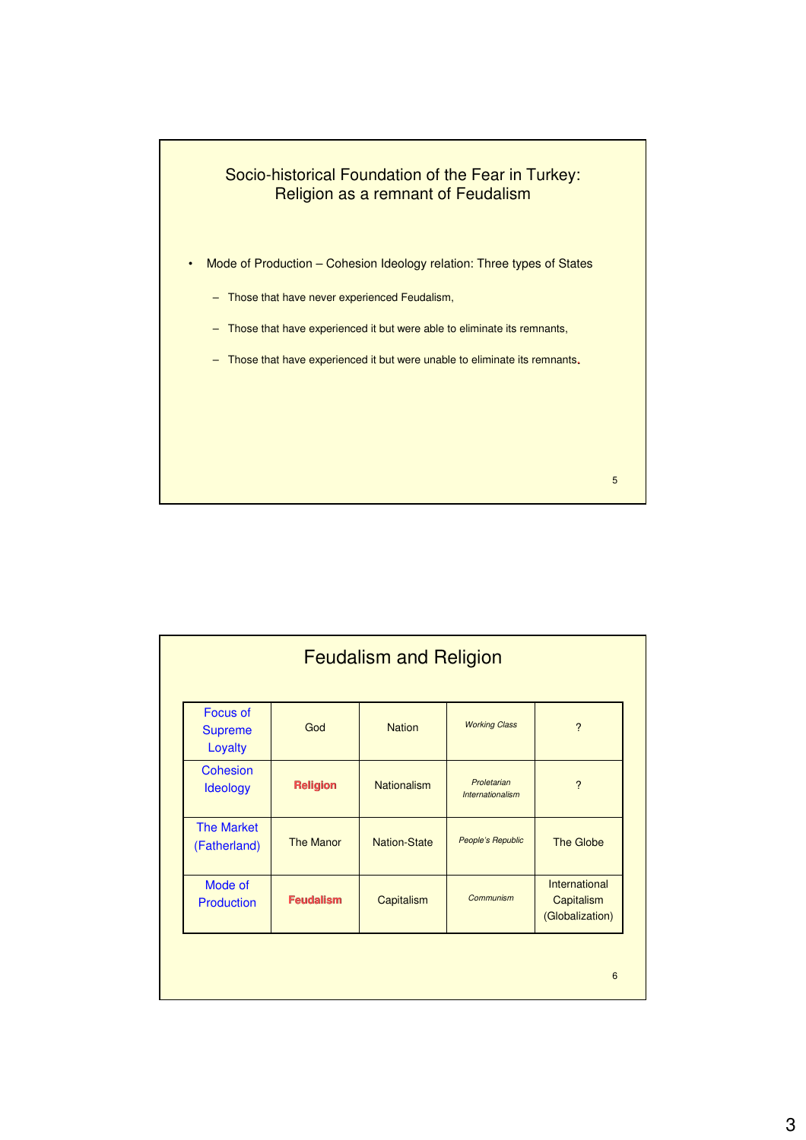

| <b>Feudalism and Religion</b>                |                  |                    |                                 |                                                |  |
|----------------------------------------------|------------------|--------------------|---------------------------------|------------------------------------------------|--|
| <b>Focus of</b><br><b>Supreme</b><br>Loyalty | God              | <b>Nation</b>      | <b>Working Class</b>            | $\overline{\phantom{0}}$                       |  |
| <b>Cohesion</b><br>Ideology                  | <b>Religion</b>  | <b>Nationalism</b> | Proletarian<br>Internationalism | ?                                              |  |
| <b>The Market</b><br>(Fatherland)            | <b>The Manor</b> | Nation-State       | People's Republic               | The Globe                                      |  |
| Mode of<br>Production                        | <b>Feudalism</b> | Capitalism         | Communism                       | International<br>Capitalism<br>(Globalization) |  |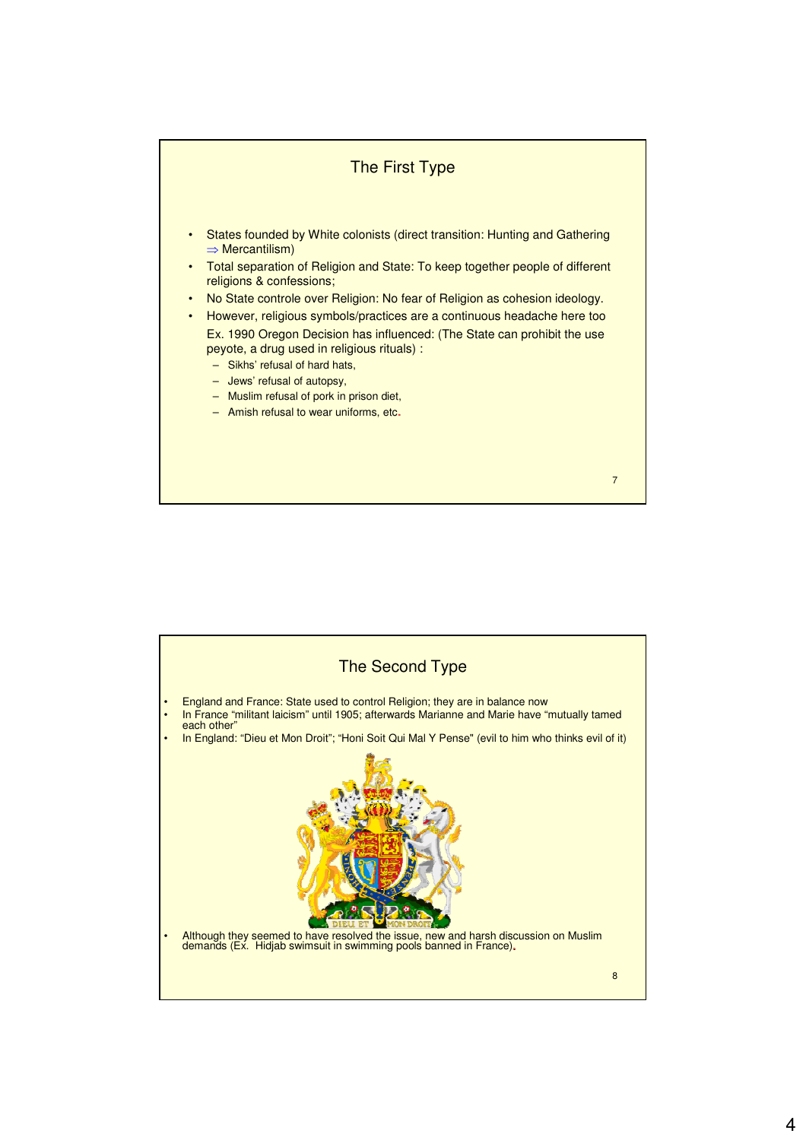

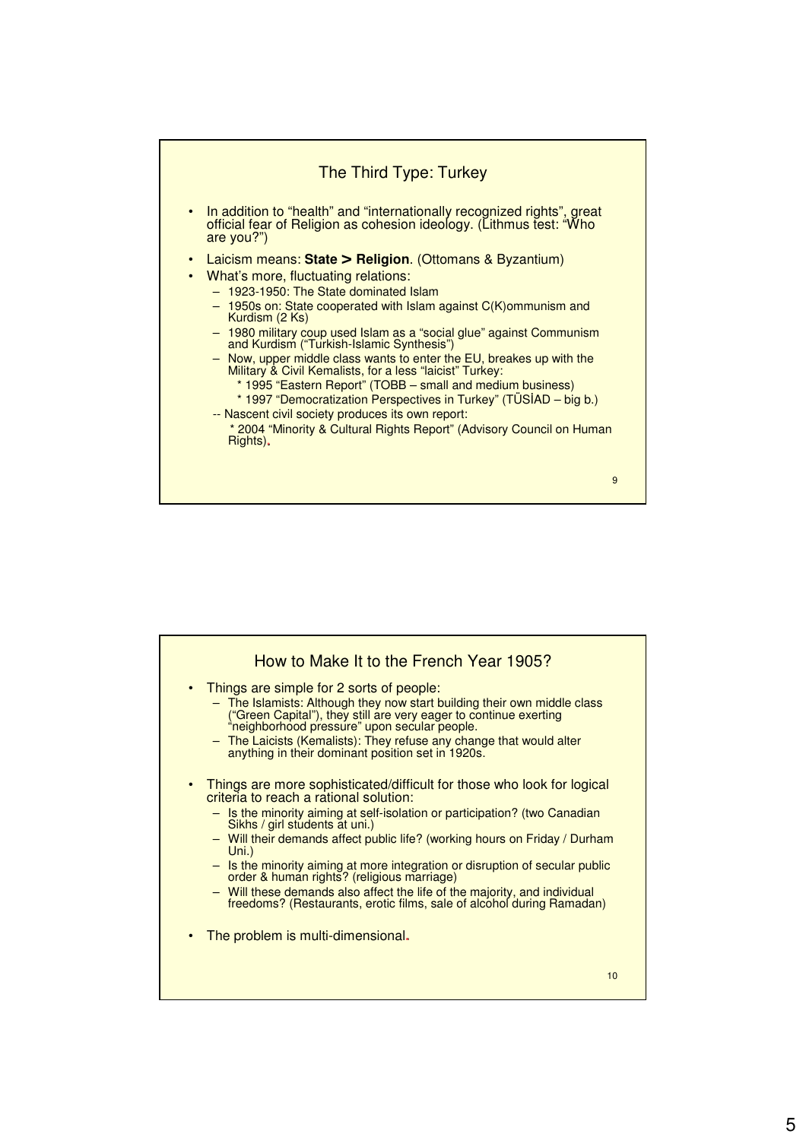

| How to Make It to the French Year 1905?                                                                                                                                                                                                                                                                                                                                                                                                                                                                                                                                                                     |
|-------------------------------------------------------------------------------------------------------------------------------------------------------------------------------------------------------------------------------------------------------------------------------------------------------------------------------------------------------------------------------------------------------------------------------------------------------------------------------------------------------------------------------------------------------------------------------------------------------------|
| Things are simple for 2 sorts of people:<br>$\bullet$<br>- The Islamists: Although they now start building their own middle class<br>("Green Capital"), they still are very eager to continue exerting<br>"neighborhood pressure" upon secular people.<br>- The Laicists (Kemalists): They refuse any change that would alter<br>anything in their dominant position set in 1920s.                                                                                                                                                                                                                          |
| Things are more sophisticated/difficult for those who look for logical<br>criteria to reach a rational solution:<br>- Is the minority aiming at self-isolation or participation? (two Canadian<br>Sikhs / girl students at uni.)<br>- Will their demands affect public life? (working hours on Friday / Durham<br>Uni.)<br>- Is the minority aiming at more integration or disruption of secular public<br>order & human rights? (religious marriage)<br>- Will these demands also affect the life of the majority, and individual<br>freedoms? (Restaurants, erotic films, sale of alcohol during Ramadan) |
| The problem is multi-dimensional.                                                                                                                                                                                                                                                                                                                                                                                                                                                                                                                                                                           |
| 10                                                                                                                                                                                                                                                                                                                                                                                                                                                                                                                                                                                                          |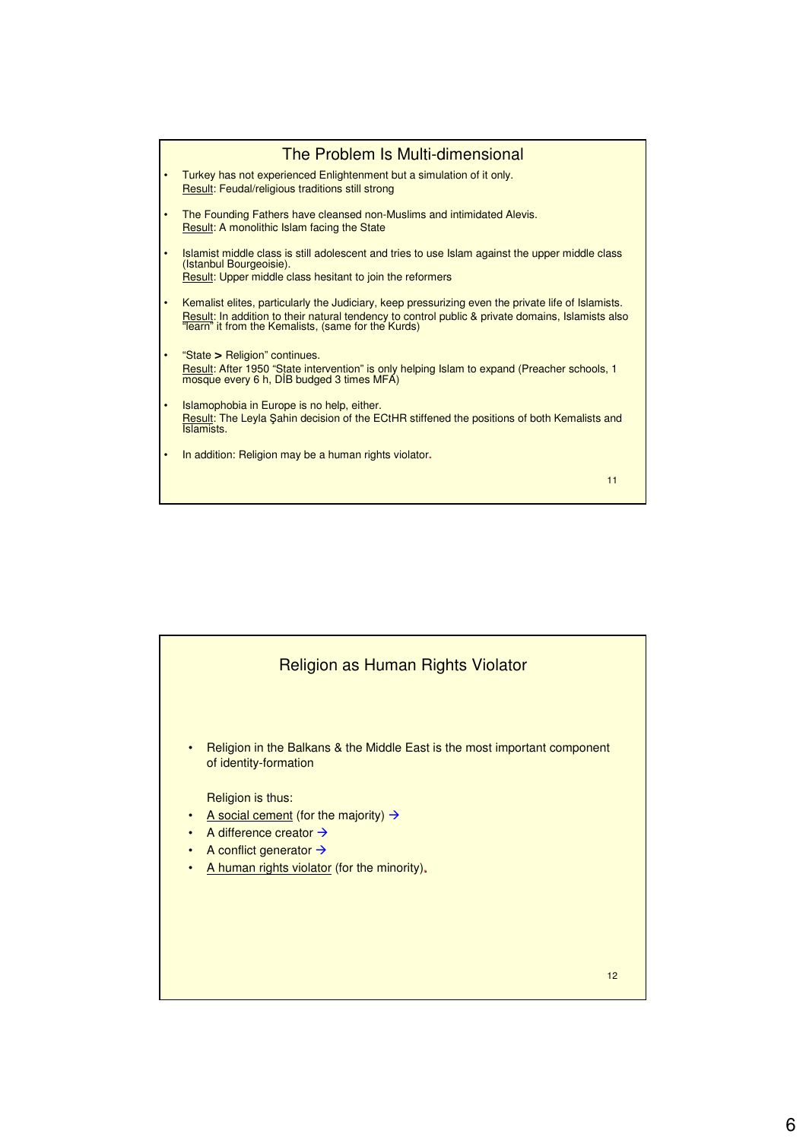